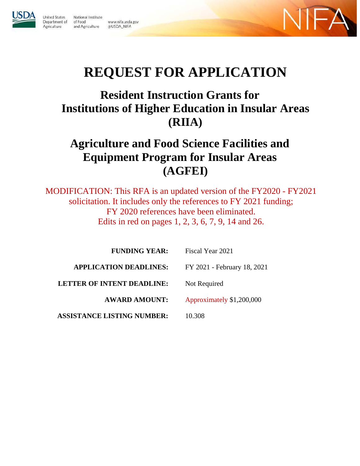

Agriculture

**United States** National Institute Department of of Food and Agriculture

www.nifa.usda.gov @USDA\_NIFA



# **REQUEST FOR APPLICATION**

# **Resident Instruction Grants for Institutions of Higher Education in Insular Areas (RIIA)**

# **Agriculture and Food Science Facilities and Equipment Program for Insular Areas (AGFEI)**

MODIFICATION: This RFA is an updated version of the FY2020 - FY2021 solicitation. It includes only the references to FY 2021 funding; FY 2020 references have been eliminated. Edits in red on pages 1, 2, 3, 6, 7, 9, 14 and 26.

<span id="page-0-0"></span>

| <b>FUNDING YEAR:</b>              | Fiscal Year 2021            |
|-----------------------------------|-----------------------------|
| <b>APPLICATION DEADLINES:</b>     | FY 2021 - February 18, 2021 |
| <b>LETTER OF INTENT DEADLINE:</b> | Not Required                |
| <b>AWARD AMOUNT:</b>              | Approximately \$1,200,000   |
| <b>ASSISTANCE LISTING NUMBER:</b> | 10.308                      |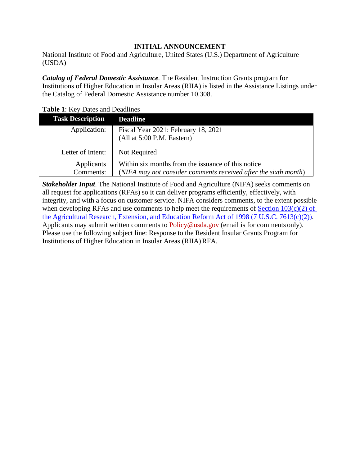## **INITIAL ANNOUNCEMENT**

National Institute of Food and Agriculture, United States (U.S.) Department of Agriculture (USDA)

*Catalog of Federal Domestic Assistance.* The Resident Instruction Grants program for Institutions of Higher Education in Insular Areas (RIIA) is listed in the Assistance Listings under the Catalog of Federal Domestic Assistance number 10.308.

|                         | <b>Table 1.</b> Inc., Dates and Deadlines                                                                             |  |  |  |  |  |  |
|-------------------------|-----------------------------------------------------------------------------------------------------------------------|--|--|--|--|--|--|
| <b>Task Description</b> | <b>Deadline</b>                                                                                                       |  |  |  |  |  |  |
| Application:            | Fiscal Year 2021: February 18, 2021                                                                                   |  |  |  |  |  |  |
|                         | (Allat 5:00 P.M. Eastern)                                                                                             |  |  |  |  |  |  |
| Letter of Intent:       | Not Required                                                                                                          |  |  |  |  |  |  |
| Applicants<br>Comments: | Within six months from the issuance of this notice<br>(NIFA may not consider comments received after the sixth month) |  |  |  |  |  |  |

<span id="page-1-0"></span>**Table 1**: Key Dates and Deadlines

*Stakeholder Input*. The National Institute of Food and Agriculture (NIFA) seeks comments on all request for applications (RFAs) so it can deliver programs efficiently, effectively, with integrity, and with a focus on customer service. NIFA considers comments, to the extent possible when developing RFAs and use comments to help meet the requirements of Section  $103(c)(2)$  of [the Agricultural Research, Extension, and Education Reform Act of 1998](https://nifa.usda.gov/resource/agricultural-research-extension-and-education-reform-act-1998) [\(7 U.S.C. 7613\(c\)\(2\)\).](https://nifa.usda.gov/resource/agricultural-research-extension-and-education-reform-act-1998) Applicants may submit written comments to [Policy@usda.gov](mailto:Policy@usda.gov) (email is for comments only). Please use the following subject line: Response to the Resident Insular Grants Program for Institutions of Higher Education in Insular Areas (RIIA) RFA.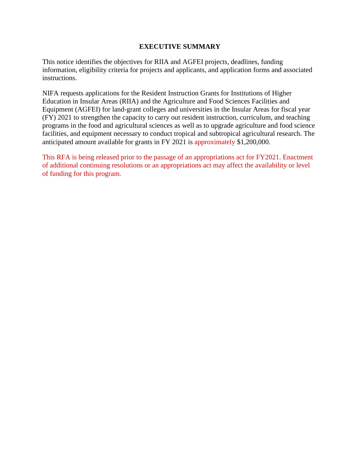## **EXECUTIVE SUMMARY**

<span id="page-2-0"></span>This notice identifies the objectives for RIIA and AGFEI projects, deadlines, funding information, eligibility criteria for projects and applicants, and application forms and associated instructions.

NIFA requests applications for the Resident Instruction Grants for Institutions of Higher Education in Insular Areas (RIIA) and the Agriculture and Food Sciences Facilities and Equipment (AGFEI) for land-grant colleges and universities in the Insular Areas for fiscal year (FY) 2021 to strengthen the capacity to carry out resident instruction, curriculum, and teaching programs in the food and agricultural sciences as well as to upgrade agriculture and food science facilities, and equipment necessary to conduct tropical and subtropical agricultural research. The anticipated amount available for grants in FY 2021 is approximately \$1,200,000.

This RFA is being released prior to the passage of an appropriations act for FY2021. Enactment of additional continuing resolutions or an appropriations act may affect the availability or level of funding for this program.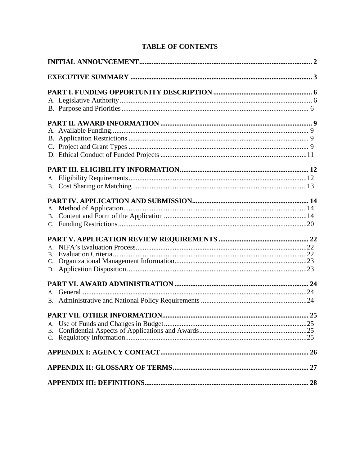# **TABLE OF CONTENTS**

| $\mathbf{B}$ .<br>C. |
|----------------------|
|                      |
|                      |
|                      |
|                      |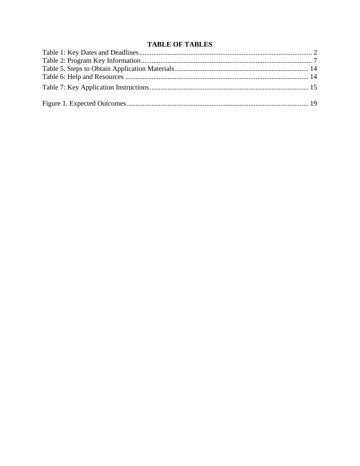# **TABLE OF TABLES**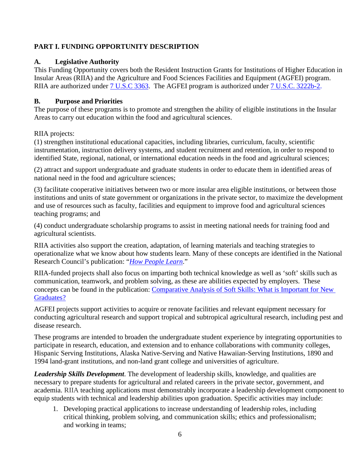# <span id="page-5-0"></span>**PART I. FUNDING OPPORTUNITY DESCRIPTION**

# <span id="page-5-1"></span>**A. Legislative Authority**

This Funding Opportunity covers both the Resident Instruction Grants for Institutions of Higher Education in Insular Areas (RIIA) and the Agriculture and Food Sciences Facilities and Equipment (AGFEI) program. RIIA are authorized under [7 U.S.C 3363.](https://uscode.house.gov/view.xhtml?req=granuleid:USC-prelim-title7-section3363&num=0&edition=prelim) The AGFEI program is authorized under [7 U.S.C. 3222b-2.](https://uscode.house.gov/view.xhtml?hl=false&edition=prelim&req=granuleid%3AUSC-prelim-title7-section3222b-2&num=0&saved=%7CKHRpdGxlOjcgc2VjdGlvbjozMjIyYiBlZGl0aW9uOnByZWxpbSk%3D%7C%7C%7C0%7Cfalse%7Cprelim)

# **B. Purpose and Priorities**

The purpose of these programs is to promote and strengthen the ability of eligible institutions in the Insular Areas to carry out education within the food and agricultural sciences.

RIIA projects:

(1) strengthen institutional educational capacities, including libraries, curriculum, faculty, scientific instrumentation, instruction delivery systems, and student recruitment and retention, in order to respond to identified State, regional, national, or international education needs in the food and agricultural sciences;

(2) attract and support undergraduate and graduate students in order to educate them in identified areas of national need in the food and agriculture sciences;

(3) facilitate cooperative initiatives between two or more insular area eligible institutions, or between those institutions and units of state government or organizations in the private sector, to maximize the development and use of resources such as faculty, facilities and equipment to improve food and agricultural sciences teaching programs; and

(4) conduct undergraduate scholarship programs to assist in meeting national needs for training food and agricultural scientists.

RIIA activities also support the creation, adaptation, of learning materials and teaching strategies to operationalize what we know about how students learn. Many of these concepts are identified in the National Research Council's publication: "*[How](http://www.colorado.edu/MCDB/LearningBiology/readings/How-people-learn.pdf) [People Learn](http://www.nap.edu/catalog/9853/how-people-learn-brain-mind-experience-and-school-expanded-edition)*[."](http://www.colorado.edu/MCDB/LearningBiology/readings/How-people-learn.pdf)

RIIA-funded projects shall also focus on imparting both technical knowledge as well as 'soft' skills such as communication, teamwork, and problem solving, as these are abilities expected by employers. These concepts can be found in the publication: [Comparative Analysis of Soft Skills: What is Important for New](http://www.aplu.org/members/commissions/food-environment-and-renewable-resources/CFERR_Library/comparative-analysis-of-soft-skills-what-is-important-for-new-graduates) [Graduates?](http://www.aplu.org/members/commissions/food-environment-and-renewable-resources/CFERR_Library/comparative-analysis-of-soft-skills-what-is-important-for-new-graduates)

AGFEI projects support activities to acquire or renovate facilities and relevant equipment necessary for conducting agricultural research and support tropical and subtropical agricultural research, including pest and disease research.

These programs are intended to broaden the undergraduate student experience by integrating opportunities to participate in research, education, and extension and to enhance collaborations with community colleges, Hispanic Serving Institutions, Alaska Native-Serving and Native Hawaiian-Serving Institutions, 1890 and 1994 land-grant institutions, and non-land grant college and universities of agriculture.

*Leadership Skills Development*. The development of leadership skills, knowledge, and qualities are necessary to prepare students for agricultural and related careers in the private sector, government, and academia. RIIA teaching applications must demonstrably incorporate a leadership development component to equip students with technical and leadership abilities upon graduation. Specific activities may include:

1. Developing practical applications to increase understanding of leadership roles, including critical thinking, problem solving, and communication skills; ethics and professionalism; and working in teams;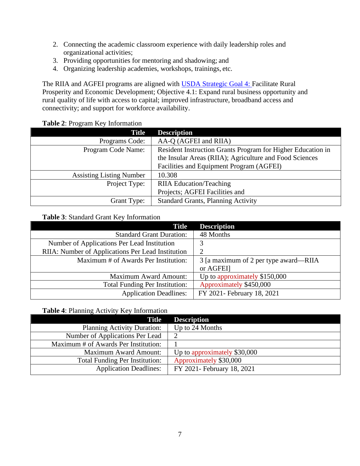- 2. Connecting the academic classroom experience with daily leadership roles and organizational activities;
- 3. Providing opportunities for mentoring and shadowing; and
- 4. Organizing leadership academies, workshops, trainings, etc.

The RIIA and AGFEI programs are aligned with [USDA Strategic Goal 4:](https://www.usda.gov/sites/default/files/documents/usda-strategic-plan-2018-2022.pdf) Facilitate Rural Prosperity and Economic Development; Objective 4.1: Expand rural business opportunity and rural quality of life with access to capital; improved infrastructure, broadband access and connectivity; and support for workforce availability.

## **Table 2**: Program Key Information

<span id="page-6-0"></span>

| <b>Title</b>                    | <b>Description</b>                                          |
|---------------------------------|-------------------------------------------------------------|
| Programs Code:                  | AA-Q (AGFEI and RIIA)                                       |
| Program Code Name:              | Resident Instruction Grants Program for Higher Education in |
|                                 | the Insular Areas (RIIA); Agriculture and Food Sciences     |
|                                 | Facilities and Equipment Program (AGFEI)                    |
| <b>Assisting Listing Number</b> | 10.308                                                      |
| Project Type:                   | <b>RIIA</b> Education/Teaching                              |
|                                 | Projects; AGFEI Facilities and                              |
| Grant Type:                     | <b>Standard Grants, Planning Activity</b>                   |

## **Table 3**: Standard Grant Key Information

| <b>Title</b>                                      | <b>Description</b>                    |
|---------------------------------------------------|---------------------------------------|
| <b>Standard Grant Duration:</b>                   | 48 Months                             |
| Number of Applications Per Lead Institution       | 3                                     |
| RIIA: Number of Applications Per Lead Institution | っ                                     |
| Maximum # of Awards Per Institution:              | 3 [a maximum of 2 per type award—RIIA |
|                                                   | or AGFEI]                             |
| <b>Maximum Award Amount:</b>                      | Up to approximately \$150,000         |
| <b>Total Funding Per Institution:</b>             | Approximately \$450,000               |
| <b>Application Deadlines:</b>                     | FY 2021- February 18, 2021            |

## **Table 4**: Planning Activity Key Information

| <b>Title</b>                          | <b>Description</b>           |
|---------------------------------------|------------------------------|
| <b>Planning Activity Duration:</b>    | Up to 24 Months              |
| Number of Applications Per Lead       |                              |
| Maximum # of Awards Per Institution:  |                              |
| <b>Maximum Award Amount:</b>          | Up to approximately \$30,000 |
| <b>Total Funding Per Institution:</b> | Approximately \$30,000       |
| <b>Application Deadlines:</b>         | FY 2021- February 18, 2021   |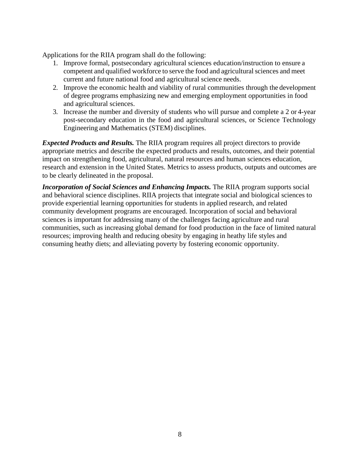Applications for the RIIA program shall do the following:

- 1. Improve formal, postsecondary agricultural sciences education/instruction to ensure a competent and qualified workforce to serve the food and agricultural sciences and meet current and future national food and agricultural science needs.
- 2. Improve the economic health and viability of rural communities through the development of degree programs emphasizing new and emerging employment opportunities in food and agricultural sciences.
- 3. Increase the number and diversity of students who will pursue and complete a 2 or 4-year post-secondary education in the food and agricultural sciences, or Science Technology Engineering and Mathematics (STEM) disciplines.

*Expected Products and Results.* The RIIA program requires all project directors to provide appropriate metrics and describe the expected products and results, outcomes, and their potential impact on strengthening food, agricultural, natural resources and human sciences education, research and extension in the United States. Metrics to assess products, outputs and outcomes are to be clearly delineated in the proposal.

*Incorporation of Social Sciences and Enhancing Impacts.* The RIIA program supports social and behavioral science disciplines. RIIA projects that integrate social and biological sciences to provide experiential learning opportunities for students in applied research, and related community development programs are encouraged. Incorporation of social and behavioral sciences is important for addressing many of the challenges facing agriculture and rural communities, such as increasing global demand for food production in the face of limited natural resources; improving health and reducing obesity by engaging in heathy life styles and consuming heathy diets; and alleviating poverty by fostering economic opportunity.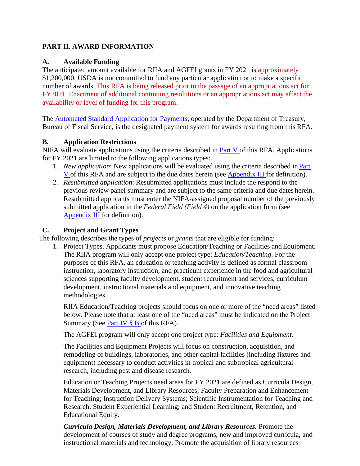# <span id="page-8-0"></span>**PART II. AWARD INFORMATION**

## <span id="page-8-1"></span>**A. Available Funding**

The anticipated amount available for RIIA and AGFEI grants in FY 2021 is approximately \$1,200,000. USDA is not committed to fund any particular application or to make a specific number of awards. This RFA is being released prior to the passage of an appropriations act for FY2021. Enactment of additional continuing resolutions or an appropriations act may affect the availability or level of funding for this program.

The [Automated Standard Application for Payments,](https://www.fiscal.treasury.gov/fsservices/gov/pmt/asap/asap_home.htm) operated by the Department of Treasury, Bureau of Fiscal Service, is the designated payment system for awards resulting from this RFA.

# <span id="page-8-2"></span>**B. Application Restrictions**

NIFA will evaluate applications using the criteria described in  $Part V$  of this RFA. Applications for FY 2021 are limited to the following applications types:

- 1. *New application*: New applications will be evaluated using the criteria described in [Part](#page-21-0)  [V o](#page-21-0)f this RFA and are subject to the due dates herein (see [Appendix III f](#page-27-0)or definition).
- 2. *Resubmitted application*: Resubmitted applications must include the respond to the previous review panel summary and are subject to the same criteria and due dates herein. Resubmitted applicants must enter the NIFA-assigned proposal number of the previously submitted application in the *Federal Field (Field 4)* on the application form (see [Appendix III f](#page-27-0)or definition).

# <span id="page-8-3"></span>**C. Project and Grant Types**

The following describes the types of *projects* or *grants* that are eligible for funding:

1. Project Types. Applicants must propose Education/Teaching or Facilities and Equipment*.*  The RIIA program will only accept one project type: *Education/Teaching*. For the purposes of this RFA, an education or teaching activity is defined as formal classroom instruction, laboratory instruction, and practicum experience in the food and agricultural sciences supporting faculty development, student recruitment and services, curriculum development, instructional materials and equipment, and innovative teaching methodologies.

RIIA Education/Teaching projects should focus on one or more of the "need areas" listed below. Please note that at least one of the "need areas" must be indicated on the Project Summary (See Part IV  $\S$  B of this RFA).

The AGFEI program will only accept one project type: *Facilities and Equipment.*

The Facilities and Equipment Projects will focus on construction, acquisition, and remodeling of buildings, laboratories, and other capital facilities (including fixtures and equipment) necessary to conduct activities in tropical and subtropical agricultural research, including pest and disease research.

Education or Teaching Projects need areas for FY 2021 are defined as Curricula Design, Materials Development, and Library Resources; Faculty Preparation and Enhancement for Teaching; Instruction Delivery Systems; Scientific Instrumentation for Teaching and Research; Student Experiential Learning; and Student Recruitment, Retention, and Educational Equity.

*Curricula Design, Materials Development, and Library Resources.* Promote the development of courses of study and degree programs, new and improved curricula, and instructional materials and technology. Promote the acquisition of library resources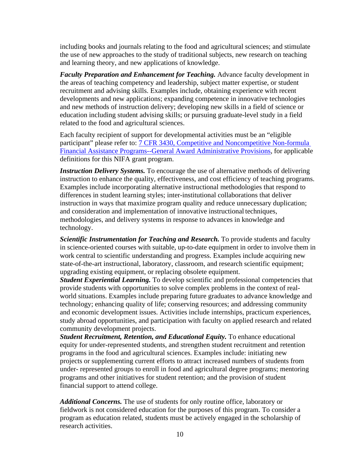including books and journals relating to the food and agricultural sciences; and stimulate the use of new approaches to the study of traditional subjects, new research on teaching and learning theory, and new applications of knowledge.

**Faculty Preparation and Enhancement for Teaching.** Advance faculty development in the areas of teaching competency and leadership, subject matter expertise, or student recruitment and advising skills. Examples include, obtaining experience with recent developments and new applications; expanding competence in innovative technologies and new methods of instruction delivery; developing new skills in a field of science or education including student advising skills; or pursuing graduate-level study in a field related to the food and agricultural sciences.

Each faculty recipient of support for developmental activities must be an "eligible participant" please refer to: [7 CFR 3430, Competitive and Noncompetitive Non-formula](http://www.ecfr.gov/cgi-bin/text-idx?c=ecfr&amp%3BSID=2a6f6bfbef4c918616eebe5353d0793c&amp%3Brgn=div5&amp%3Bview=text&amp%3Bnode=7%3A15.1.12.2.13&amp%3Bidno=7&amp%3B7%3A15.1.12.2.13.1.17.2) [Financial Assistance Programs--General Award Administrative Provisions,](http://www.ecfr.gov/cgi-bin/text-idx?c=ecfr&amp%3BSID=2a6f6bfbef4c918616eebe5353d0793c&amp%3Brgn=div5&amp%3Bview=text&amp%3Bnode=7%3A15.1.12.2.13&amp%3Bidno=7&amp%3B7%3A15.1.12.2.13.1.17.2) for applicable definitions for this NIFA grant program.

*Instruction Delivery Systems.* To encourage the use of alternative methods of delivering instruction to enhance the quality, effectiveness, and cost efficiency of teaching programs. Examples include incorporating alternative instructional methodologies that respond to differences in student learning styles; inter-institutional collaborations that deliver instruction in ways that maximize program quality and reduce unnecessary duplication; and consideration and implementation of innovative instructional techniques, methodologies, and delivery systems in response to advances in knowledge and technology.

**Scientific Instrumentation for Teaching and Research.** To provide students and faculty in science-oriented courses with suitable, up-to-date equipment in order to involve them in work central to scientific understanding and progress. Examples include acquiring new state-of-the-art instructional, laboratory, classroom, and research scientific equipment; upgrading existing equipment, or replacing obsolete equipment.

*Student Experiential Learning.* To develop scientific and professional competencies that provide students with opportunities to solve complex problems in the context of realworld situations. Examples include preparing future graduates to advance knowledge and technology; enhancing quality of life; conserving resources; and addressing community and economic development issues. Activities include internships, practicum experiences, study abroad opportunities, and participation with faculty on applied research and related community development projects.

*Student Recruitment, Retention, and Educational Equity. To enhance educational* equity for under-represented students, and strengthen student recruitment and retention programs in the food and agricultural sciences. Examples include: initiating new projects or supplementing current efforts to attract increased numbers of students from under- represented groups to enroll in food and agricultural degree programs; mentoring programs and other initiatives for student retention; and the provision of student financial support to attend college.

*Additional Concerns.* The use of students for only routine office, laboratory or fieldwork is not considered education for the purposes of this program. To consider a program as education related, students must be actively engaged in the scholarship of research activities.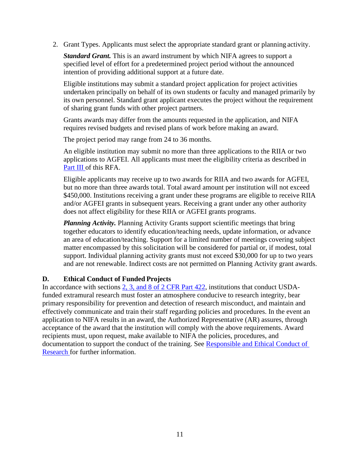2. Grant Types. Applicants must select the appropriate standard grant or planning activity.

*Standard Grant.* This is an award instrument by which NIFA agrees to support a specified level of effort for a predetermined project period without the announced intention of providing additional support at a future date.

Eligible institutions may submit a standard project application for project activities undertaken principally on behalf of its own students or faculty and managed primarily by its own personnel. Standard grant applicant executes the project without the requirement of sharing grant funds with other project partners.

Grants awards may differ from the amounts requested in the application, and NIFA requires revised budgets and revised plans of work before making an award.

The project period may range from 24 to 36 months.

An eligible institution may submit no more than three applications to the RIIA or two applications to AGFEI. All applicants must meet the eligibility criteria as described in [Part III o](#page-11-1)f this RFA.

Eligible applicants may receive up to two awards for RIIA and two awards for AGFEI, but no more than three awards total. Total award amount per institution will not exceed \$450,000. Institutions receiving a grant under these programs are eligible to receive RIIA and/or AGFEI grants in subsequent years. Receiving a grant under any other authority does not affect eligibility for these RIIA or AGFEI grants programs.

*Planning Activity.* Planning Activity Grants support scientific meetings that bring together educators to identify education/teaching needs, update information, or advance an area of education/teaching. Support for a limited number of meetings covering subject matter encompassed by this solicitation will be considered for partial or, if modest, total support. Individual planning activity grants must not exceed \$30,000 for up to two years and are not renewable. Indirect costs are not permitted on Planning Activity grant awards.

## <span id="page-10-0"></span>**D. Ethical Conduct of Funded Projects**

In accordance with sections [2, 3, and 8 of 2 CFR Part 422,](https://ecfr.io/Title-02/pt2.1.422) institutions that conduct USDAfunded extramural research must foster an atmosphere conducive to research integrity, bear primary responsibility for prevention and detection of research misconduct, and maintain and effectively communicate and train their staff regarding policies and procedures. In the event an application to NIFA results in an award, the Authorized Representative (AR) assures, through acceptance of the award that the institution will comply with the above requirements. Award recipients must, upon request, make available to NIFA the policies, procedures, and documentation to support the conduct of the training. See [Responsible and Ethical Conduct of](https://nifa.usda.gov/responsible-and-ethical-conduct-research) [Research f](https://nifa.usda.gov/responsible-and-ethical-conduct-research)or further information.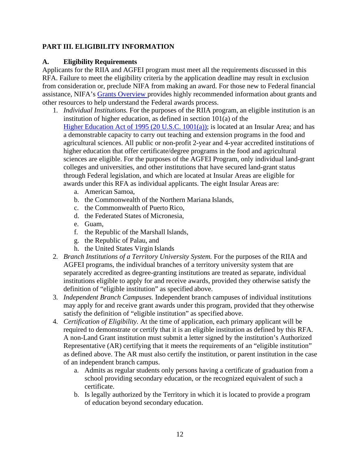# <span id="page-11-0"></span>**PART III. ELIGIBILITY INFORMATION**

# <span id="page-11-1"></span>**A. Eligibility Requirements**

Applicants for the RIIA and AGFEI program must meet all the requirements discussed in this RFA. Failure to meet the eligibility criteria by the application deadline may result in exclusion from consideration or, preclude NIFA from making an award. For those new to Federal financial assistance, NIFA's [Grants Overview p](https://nifa.usda.gov/resource/grants-overview)rovides highly recommended information about grants and other resources to help understand the Federal awards process.

- 1. *Individual Institutions.* For the purposes of the RIIA program, an eligible institution is an institution of higher education, as defined in section 101(a) of the [Higher Education Act](http://uscode.house.gov/view.xhtml?req=(title%3A20%20section%3A1001%20edition%3Aprelim)%20OR%20(granuleid%3AUSC-prelim-title20-section1001)&f=treesort&edition=prelim&num=0&jumpTo=true) [of 1995 \(20 U.S.C. 1001\(a\)\);](https://uscode.house.gov/view.xhtml?req=(title:20%20section:1001%20edition:prelim)%20OR%20(granuleid:USC-prelim-title20-section1001)&f=treesort&edition=prelim&num=0&jumpTo=true) is located at an Insular Area; and has a demonstrable capacity to carry out teaching and extension programs in the food and agricultural sciences. All public or non-profit 2-year and 4-year accredited institutions of higher education that offer certificate/degree programs in the food and agricultural sciences are eligible. For the purposes of the AGFEI Program, only individual land-grant colleges and universities, and other institutions that have secured land-grant status through Federal legislation, and which are located at Insular Areas are eligible for awards under this RFA as individual applicants. The eight Insular Areas are:
	- a. American Samoa,
	- b. the Commonwealth of the Northern Mariana Islands,
	- c. the Commonwealth of Puerto Rico,
	- d. the Federated States of Micronesia,
	- e. Guam,
	- f. the Republic of the Marshall Islands,
	- g. the Republic of Palau, and
	- h. the United States Virgin Islands
- 2. *Branch Institutions of a Territory University System.* For the purposes of the RIIA and AGFEI programs, the individual branches of a territory university system that are separately accredited as degree-granting institutions are treated as separate, individual institutions eligible to apply for and receive awards, provided they otherwise satisfy the definition of "eligible institution" as specified above.
- 3. *Independent Branch Campuses.* Independent branch campuses of individual institutions may apply for and receive grant awards under this program, provided that they otherwise satisfy the definition of "eligible institution" as specified above.
- 4. *Certification of Eligibility.* At the time of application, each primary applicant will be required to demonstrate or certify that it is an eligible institution as defined by this RFA. A non-Land Grant institution must submit a letter signed by the institution's Authorized Representative (AR) certifying that it meets the requirements of an "eligible institution" as defined above. The AR must also certify the institution, or parent institution in the case of an independent branch campus.
	- a. Admits as regular students only persons having a certificate of graduation from a school providing secondary education, or the recognized equivalent of such a certificate.
	- b. Is legally authorized by the Territory in which it is located to provide a program of education beyond secondary education.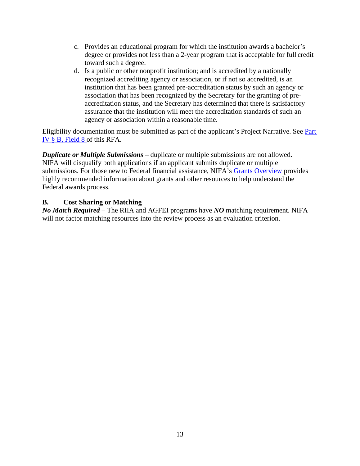- c. Provides an educational program for which the institution awards a bachelor's degree or provides not less than a 2-year program that is acceptable for full credit toward such a degree.
- d. Is a public or other nonprofit institution; and is accredited by a nationally recognized accrediting agency or association, or if not so accredited, is an institution that has been granted pre-accreditation status by such an agency or association that has been recognized by the Secretary for the granting of preaccreditation status, and the Secretary has determined that there is satisfactory assurance that the institution will meet the accreditation standards of such an agency or association within a reasonable time.

Eligibility documentation must be submitted as part of the applicant's Project Narrative. See [Part](#page-13-2) [IV § B, Field 8](#page-13-2) of this RFA.

*Duplicate or Multiple Submissions* – duplicate or multiple submissions are not allowed. NIFA will disqualify both applications if an applicant submits duplicate or multiple submissions. For those new to Federal financial assistance, NIFA's [Grants Overview p](https://nifa.usda.gov/resource/grants-overview)rovides highly recommended information about grants and other resources to help understand the Federal awards process.

## <span id="page-12-0"></span>**B. Cost Sharing or Matching**

*No Match Required* – The RIIA and AGFEI programs have *NO* matching requirement. NIFA will not factor matching resources into the review process as an evaluation criterion.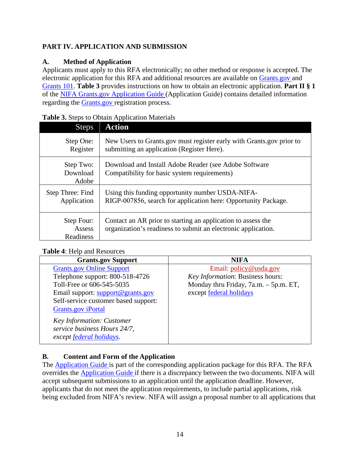# <span id="page-13-0"></span>**PART IV. APPLICATION AND SUBMISSION**

# <span id="page-13-1"></span>**A. Method of Application**

Applicants must apply to this RFA electronically; no other method or response is accepted. The electronic application for this RFA and additional resources are available on [Grants.gov](https://www.grants.gov/) and [Grants 101.](https://www.grants.gov/web/grants/learn-grants/grants-101/pre-award-phase.html/) **Table 3** provides instructions on how to obtain an electronic application. **Part II § 1** of the [NIFA Grants.gov Application Guide \(](https://apply07.grants.gov/apply/opportunities/instructions/PKG00249520-instructions.pdf)Application Guide) contains detailed information regarding the [Grants.gov r](https://www.grants.gov/)egistration process.

| <b>Steps</b>                      | <b>Action</b>                                                                                                                 |
|-----------------------------------|-------------------------------------------------------------------------------------------------------------------------------|
| Step One:<br>Register             | New Users to Grants.gov must register early with Grants.gov prior to<br>submitting an application (Register Here).            |
| Step Two:<br>Download<br>Adobe    | Download and Install Adobe Reader (see Adobe Software<br>Compatibility for basic system requirements)                         |
| Step Three: Find<br>Application   | Using this funding opportunity number USDA-NIFA-<br>RIGP-007856, search for application here: Opportunity Package.            |
| Step Four:<br>Assess<br>Readiness | Contact an AR prior to starting an application to assess the<br>organization's readiness to submit an electronic application. |

# <span id="page-13-3"></span>**Table 3.** Steps to Obtain Application Materials

# <span id="page-13-4"></span>**Table 4**: Help and Resources

| <b>NIFA</b>                           |
|---------------------------------------|
| Email: policy@usda.gov                |
| Key Information: Business hours:      |
| Monday thru Friday, 7a.m. - 5p.m. ET, |
| except federal holidays               |
|                                       |
|                                       |
|                                       |
|                                       |
|                                       |
|                                       |

# <span id="page-13-2"></span>**B. Content and Form of the Application**

The [Application Guide i](https://apply07.grants.gov/apply/opportunities/instructions/PKG00249520-instructions.pdf)s part of the corresponding application package for this RFA. The RFA overrides the [Application Guide i](https://apply07.grants.gov/apply/opportunities/instructions/PKG00249520-instructions.pdf)f there is a discrepancy between the two documents. NIFA will accept subsequent submissions to an application until the application deadline. However, applicants that do not meet the application requirements, to include partial applications, risk being excluded from NIFA's review. NIFA will assign a proposal number to all applications that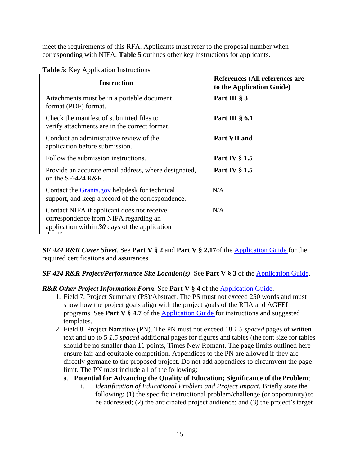meet the requirements of this RFA. Applicants must refer to the proposal number when corresponding with NIFA. **Table 5** outlines other key instructions for applicants.

| <b>Instruction</b>                                                                                                                     | References (All references are<br>to the Application Guide) |  |  |  |  |  |
|----------------------------------------------------------------------------------------------------------------------------------------|-------------------------------------------------------------|--|--|--|--|--|
| Attachments must be in a portable document<br>format (PDF) format.                                                                     | Part III § 3                                                |  |  |  |  |  |
| Check the manifest of submitted files to<br>verify attachments are in the correct format.                                              | Part III $\S$ 6.1                                           |  |  |  |  |  |
| Conduct an administrative review of the<br>application before submission.                                                              | Part VII and                                                |  |  |  |  |  |
| Follow the submission instructions.                                                                                                    | Part IV $\S 1.5$                                            |  |  |  |  |  |
| Provide an accurate email address, where designated,<br>on the SF-424 R&R.                                                             | Part IV $\S$ 1.5                                            |  |  |  |  |  |
| Contact the <b>Grants</b> gov helpdesk for technical<br>support, and keep a record of the correspondence.                              | N/A                                                         |  |  |  |  |  |
| Contact NIFA if applicant does not receive<br>correspondence from NIFA regarding an<br>application within $30$ days of the application | N/A                                                         |  |  |  |  |  |

<span id="page-14-0"></span>

| <b>Table 5:</b> Key Application Instructions |  |
|----------------------------------------------|--|
|----------------------------------------------|--|

*SF 424 R&R Cover Sheet*. See **Part V § 2** and **Part V § 2.17**of the [Application Guide](https://apply07.grants.gov/apply/opportunities/instructions/PKG00249520-instructions.pdf) for the required certifications and assurances.

## *SF 424 R&R Project/Performance Site Location(s)*. See **Part V § 3** of the [Application Guide.](https://apply07.grants.gov/apply/opportunities/instructions/PKG00249520-instructions.pdf)

## **R&R Other Project Information Form. See Part V § 4 of the [Application Guide.](https://apply07.grants.gov/apply/opportunities/instructions/PKG00249520-instructions.pdf)**

- 1. Field 7. Project Summary (PS)/Abstract. The PS must not exceed 250 words and must show how the project goals align with the project goals of the RIIA and AGFEI programs. See **Part V § 4.7** of the [Application Guide f](https://apply07.grants.gov/apply/opportunities/instructions/PKG00249520-instructions.pdf)or instructions and suggested templates.
- 2. Field 8. Project Narrative (PN). The PN must not exceed 18 *1.5 spaced* pages of written text and up to 5 *1.5 spaced* additional pages for figures and tables (the font size for tables should be no smaller than 11 points, Times New Roman). The page limits outlined here ensure fair and equitable competition. Appendices to the PN are allowed if they are directly germane to the proposed project. Do not add appendices to circumvent the page limit. The PN must include all of the following:
	- a. **Potential for Advancing the Quality of Education; Significance of theProblem**;
		- i. *Identification of Educational Problem and Project Impact.* Briefly state the following: (1) the specific instructional problem/challenge (or opportunity) to be addressed; (2) the anticipated project audience; and (3) the project'starget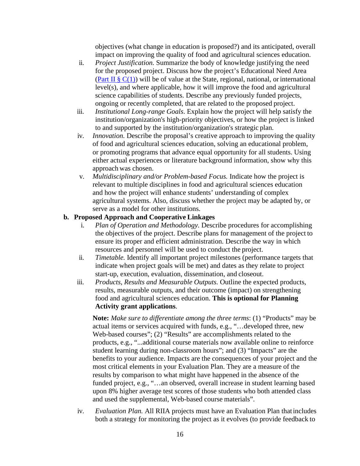objectives (what change in education is proposed?) and its anticipated, overall impact on improving the quality of food and agricultural sciences education.

- ii. *Project Justification.* Summarize the body of knowledge justifying the need for the proposed project. Discuss how the project's Educational Need Area (Part II  $\S$  C(1)) will be of value at the State, regional, national, or international level(s), and where applicable, how it will improve the food and agricultural science capabilities of students. Describe any previously funded projects, ongoing or recently completed, that are related to the proposed project.
- iii. *Institutional Long-range Goals*. Explain how the project will help satisfy the institution/organization's high-priority objectives, or how the project is linked to and supported by the institution/organization's strategic plan.
- iv. *Innovation.* Describe the proposal's creative approach to improving the quality of food and agricultural sciences education, solving an educational problem, or promoting programs that advance equal opportunity for all students. Using either actual experiences or literature background information, show why this approach was chosen.
- v. *Multidisciplinary and/or Problem-based Focus.* Indicate how the project is relevant to multiple disciplines in food and agricultural sciences education and how the project will enhance students' understanding of complex agricultural systems. Also, discuss whether the project may be adapted by, or serve as a model for other institutions.

## **b. Proposed Approach and Cooperative Linkages**

- i. *Plan of Operation and Methodology.* Describe procedures for accomplishing the objectives of the project. Describe plans for management of the project to ensure its proper and efficient administration. Describe the way in which resources and personnel will be used to conduct the project.
- ii. *Timetable.* Identify all important project milestones (performance targets that indicate when project goals will be met) and dates as they relate to project start-up, execution, evaluation, dissemination, and closeout.
- iii. *Products, Results and Measurable Outputs.* Outline the expected products, results, measurable outputs, and their outcome (impact) on strengthening food and agricultural sciences education. **This is optional for Planning Activity grant applications**.

**Note:** *Make sure to differentiate among the three terms*: (1) "Products" may be actual items or services acquired with funds, e.g., "…developed three, new Web-based courses"; (2) "Results" are accomplishments related to the products, e.g., "...additional course materials now available online to reinforce student learning during non-classroom hours"; and (3) "Impacts" are the benefits to your audience. Impacts are the consequences of your project and the most critical elements in your Evaluation Plan. They are a measure of the results by comparison to what might have happened in the absence of the funded project, e.g., "…an observed, overall increase in student learning based upon 8% higher average test scores of those students who both attended class and used the supplemental, Web-based course materials".

iv. *Evaluation Plan.* All RIIA projects must have an Evaluation Plan thatincludes both a strategy for monitoring the project as it evolves (to provide feedback to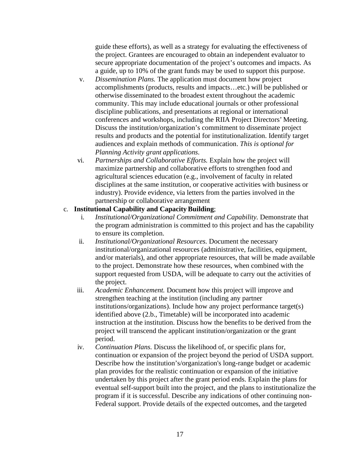guide these efforts), as well as a strategy for evaluating the effectiveness of the project. Grantees are encouraged to obtain an independent evaluator to secure appropriate documentation of the project's outcomes and impacts. As a guide, up to 10% of the grant funds may be used to support this purpose.

- v. *Dissemination Plans.* The application must document how project accomplishments (products, results and impacts…etc.) will be published or otherwise disseminated to the broadest extent throughout the academic community. This may include educational journals or other professional discipline publications, and presentations at regional or international conferences and workshops, including the RIIA Project Directors' Meeting. Discuss the institution/organization's commitment to disseminate project results and products and the potential for institutionalization. Identify target audiences and explain methods of communication. *This is optional for Planning Activity grant applications*.
- vi. *Partnerships and Collaborative Efforts.* Explain how the project will maximize partnership and collaborative efforts to strengthen food and agricultural sciences education (e.g., involvement of faculty in related disciplines at the same institution, or cooperative activities with business or industry). Provide evidence, via letters from the parties involved in the partnership or collaborative arrangement

## c. **Institutional Capability and Capacity Building**;

- i. *Institutional/Organizational Commitment and Capability.* Demonstrate that the program administration is committed to this project and has the capability to ensure its completion.
- ii. *Institutional/Organizational Resources.* Document the necessary institutional/organizational resources (administrative, facilities, equipment, and/or materials), and other appropriate resources, that will be made available to the project. Demonstrate how these resources, when combined with the support requested from USDA, will be adequate to carry out the activities of the project.
- iii. *Academic Enhancement.* Document how this project will improve and strengthen teaching at the institution (including any partner institutions/organizations). Include how any project performance target(s) identified above (2.b., Timetable) will be incorporated into academic instruction at the institution. Discuss how the benefits to be derived from the project will transcend the applicant institution/organization or the grant period.
- iv. *Continuation Plans.* Discuss the likelihood of, or specific plans for, continuation or expansion of the project beyond the period of USDA support. Describe how the institution's/organization's long-range budget or academic plan provides for the realistic continuation or expansion of the initiative undertaken by this project after the grant period ends. Explain the plans for eventual self-support built into the project, and the plans to institutionalize the program if it is successful. Describe any indications of other continuing non-Federal support. Provide details of the expected outcomes, and the targeted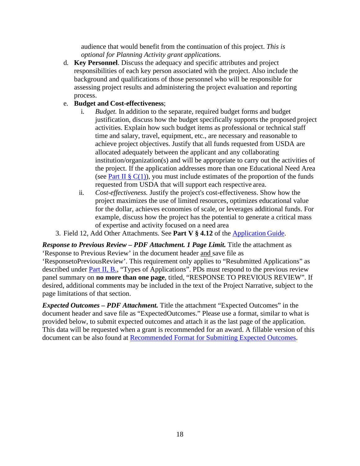audience that would benefit from the continuation of this project. *This is optional for Planning Activity grant applications.*

d. **Key Personnel**. Discuss the adequacy and specific attributes and project responsibilities of each key person associated with the project. Also include the background and qualifications of those personnel who will be responsible for assessing project results and administering the project evaluation and reporting process.

## e. **Budget and Cost-effectiveness**;

- i. *Budget.* In addition to the separate, required budget forms and budget justification, discuss how the budget specifically supports the proposed project activities. Explain how such budget items as professional or technical staff time and salary, travel, equipment, etc., are necessary and reasonable to achieve project objectives. Justify that all funds requested from USDA are allocated adequately between the applicant and any collaborating institution/organization(s) and will be appropriate to carry out the activities of the project. If the application addresses more than one Educational Need Area (see Part II §  $C(1)$ ), you must include estimates of the proportion of the funds requested from USDA that will support each respective area.
- ii. *Cost-effectiveness.* Justify the project's cost-effectiveness. Show how the project maximizes the use of limited resources, optimizes educational value for the dollar, achieves economies of scale, or leverages additional funds. For example, discuss how the project has the potential to generate a critical mass of expertise and activity focused on a need area
- 3. Field 12, Add Other Attachments. See **Part V § 4.12** of the [Application](https://apply07.grants.gov/apply/opportunities/instructions/PKG00249520-instructions.pdf) Guide.

*Response to Previous Review – PDF Attachment. 1 Page Limit.* Title the attachment as 'Response to Previous Review' in the document header and save file as

'ResponsetoPreviousReview'. This requirement only applies to "Resubmitted Applications" as described under **Part II, B.**, "Types of Applications". PDs must respond to the previous review panel summary on **no more than one page**, titled, "RESPONSE TO PREVIOUS REVIEW". If desired, additional comments may be included in the text of the Project Narrative, subject to the page limitations of that section.

*Expected Outcomes – PDF Attachment.* Title the attachment "Expected Outcomes" in the document header and save file as "ExpectedOutcomes." Please use a format, similar to what is provided below, to submit expected outcomes and attach it as the last page of the application. This data will be requested when a grant is recommended for an award. A fillable version of this document can be also found at [Recommended Format for Submitting Expected Outcomes.](https://nifa.usda.gov/resource/recommended-format-submitting-expected-impacts)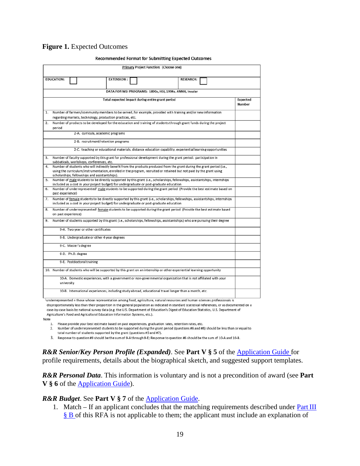### <span id="page-18-0"></span>**Figure 1.** Expected Outcomes

|    |                     |            |                                                                                                                                                                                                                         |                                                         |  | Primary Project Function: (Choose one) |                  |  |                    |
|----|---------------------|------------|-------------------------------------------------------------------------------------------------------------------------------------------------------------------------------------------------------------------------|---------------------------------------------------------|--|----------------------------------------|------------------|--|--------------------|
|    |                     |            |                                                                                                                                                                                                                         |                                                         |  |                                        |                  |  |                    |
|    | <b>EDUCATION:</b>   |            |                                                                                                                                                                                                                         | <b>EXTENSION:</b>                                       |  |                                        | <b>RESEARCH:</b> |  |                    |
|    |                     |            |                                                                                                                                                                                                                         | DATA FOR MSI PROGRAMS: 1890s, HSI, 1994s, ANNH, Insular |  |                                        |                  |  |                    |
|    |                     |            |                                                                                                                                                                                                                         |                                                         |  |                                        |                  |  |                    |
|    |                     |            |                                                                                                                                                                                                                         | Total expected impact during entire grant period        |  |                                        |                  |  | Expected<br>Number |
| 1. |                     |            | Number of farmers/community members to be served, for example, provided with training and/or new information                                                                                                            |                                                         |  |                                        |                  |  |                    |
|    |                     |            | regarding markets, technology, production practices, etc.                                                                                                                                                               |                                                         |  |                                        |                  |  |                    |
| 2. | period              |            | Number of products to be developed for the education and training of students through grant funds during the project                                                                                                    |                                                         |  |                                        |                  |  |                    |
|    |                     |            | 2-A. curricula, academic programs                                                                                                                                                                                       |                                                         |  |                                        |                  |  |                    |
|    |                     |            | 2-B. recruitment/retention programs                                                                                                                                                                                     |                                                         |  |                                        |                  |  |                    |
|    |                     |            | 2-C. teaching or educational materials, distance education capability, experiential learning opportunities                                                                                                              |                                                         |  |                                        |                  |  |                    |
| 3. |                     |            | Number of faculty supported by this grant for professional development during the grant period: participation in<br>sabbaticals, workshops, conferences, etc.                                                           |                                                         |  |                                        |                  |  |                    |
| 4. |                     |            | Number of students who will indirectly benefit from the products produced from the grant during the grant period (i.e.,                                                                                                 |                                                         |  |                                        |                  |  |                    |
|    |                     |            | using the curriculum/instrumentation, enrolled in the program, recruited or retained but not paid by the grant using                                                                                                    |                                                         |  |                                        |                  |  |                    |
|    |                     |            | scholarships, fellowships and assistantships).                                                                                                                                                                          |                                                         |  |                                        |                  |  |                    |
| 5. |                     |            | Number of male students to be directly supported by this grant (i.e., scholarships, fellowships, assistantships, internships<br>included as a cost in your project budget) for undergraduate or post-graduate education |                                                         |  |                                        |                  |  |                    |
| 6. |                     |            | Number of underrepresented <sup>1</sup> male students to be supported during the grant period (Provide the best estimate based on                                                                                       |                                                         |  |                                        |                  |  |                    |
|    | past experience)    |            |                                                                                                                                                                                                                         |                                                         |  |                                        |                  |  |                    |
| 7. |                     |            | Number of female students to be directly supported by this grant (i.e., scholarships, fellowships, assistantships, internships                                                                                          |                                                         |  |                                        |                  |  |                    |
|    |                     |            | included as a cost in your project budget) for undergraduate or post-graduate education                                                                                                                                 |                                                         |  |                                        |                  |  |                    |
| 8. | on past experience) |            | Number of underrepresented <sup>1</sup> female students to be supported during the grant period (Provide the best estimate based                                                                                        |                                                         |  |                                        |                  |  |                    |
| 9. |                     |            | Number of students supported by this grant (i.e., scholarships, fellowships, assistantships) who are pursuing their degree                                                                                              |                                                         |  |                                        |                  |  |                    |
|    |                     |            | 9-A. Two year or other certificates                                                                                                                                                                                     |                                                         |  |                                        |                  |  |                    |
|    |                     |            | 9-B. Undergraduate or other 4 year degrees                                                                                                                                                                              |                                                         |  |                                        |                  |  |                    |
|    |                     |            | 9-C. Master's degree                                                                                                                                                                                                    |                                                         |  |                                        |                  |  |                    |
|    |                     |            | 9-D. Ph.D. degree                                                                                                                                                                                                       |                                                         |  |                                        |                  |  |                    |
|    |                     |            | 9-E. Postdoctoral training                                                                                                                                                                                              |                                                         |  |                                        |                  |  |                    |
|    |                     |            | 10. Number of students who will be supported by this grant on an internship or other experiential learning opportunity                                                                                                  |                                                         |  |                                        |                  |  |                    |
|    |                     | university | 10-A. Domestic experiences, with a government or non-governmental organization that is not affiliated with your                                                                                                         |                                                         |  |                                        |                  |  |                    |
|    |                     |            | 10-B. International experiences, including study abroad, educational travel longer than a month, etc.                                                                                                                   |                                                         |  |                                        |                  |  |                    |
|    |                     |            | iunderrepresented = those whose representation among food, agriculture, patural resources and buman sciences professionals is                                                                                           |                                                         |  |                                        |                  |  |                    |

#### **Recommended Format for Submitting Expected Outcomes**

disproportionately less than their proportion in the general population as indicated in standard statistical references, or as documented on a case-by-case basis by national survey data (e.g. the U.S. Department of Education's Digest of Education Statistics, U.S. Department of Agriculture's Food and Agricultural Education Information Systems, etc.).

Note

- 1. Please provide your best estimate based on past experiences, graduation rates, retention rates, etc.
- 2. Number of underrepresented students to be supported during the grant period (questions #6 and #8) should be less than or equal to
- total number of students supported by the grant (questions #5 and #7).
- 3. Response to question #9 should be the sum of 9-A through 9-E; Response to question #6 should be the sum of 10-A and 10-B.

*R&R Senior/Key Person Profile (Expanded)*. See **Part V § 5** of the [Application Guide f](https://apply07.grants.gov/apply/opportunities/instructions/PKG00249520-instructions.pdf)or profile requirements, details about the biographical sketch, and suggested support templates.

*R&R Personal Data*. This information is voluntary and is not a precondition of award (see **Part V § 6** of the [Application Guide\)](https://apply07.grants.gov/apply/opportunities/instructions/PKG00249520-instructions.pdf).

### *R&R Budget*. See **Part V § 7** of the [Application Guide.](https://apply07.grants.gov/apply/opportunities/instructions/PKG00249520-instructions.pdf)

1. Match – If an applicant concludes that the matching requirements described under  $Part III$ [§ B o](#page-12-0)f this RFA is not applicable to them; the applicant must include an explanation of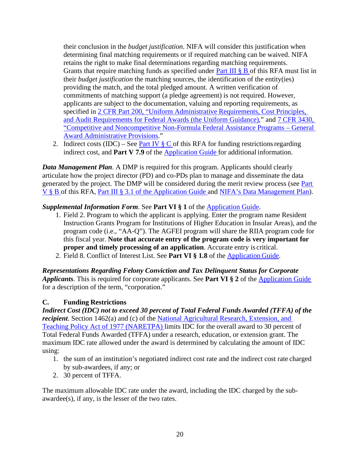their conclusion in the *budget justification*. NIFA will consider this justification when determining final matching requirements or if required matching can be waived. NIFA retains the right to make final determinations regarding matching requirements. Grants that require matching funds as specified under **Part III**  $\S$  **B** of this RFA must list in their *budget justification* the matching sources, the identification of the entity(ies) providing the match, and the total pledged amount. A written verification of commitments of matching support (a pledge agreement) is not required. However, applicants are subject to the documentation, valuing and reporting requirements, as specified in [2 CFR Part 200, "Uniform Administrative Requirements, Cost Principles,](https://www.ecfr.gov/cgi-bin/text-idx?SID=39448527cdd5ebd0a063b91b8b44f0f5&mc=true&node=pt2.1.200&rgn=div5) [and Audit Requirements for Federal Awards \(the Uniform Guidance\),](https://www.ecfr.gov/cgi-bin/text-idx?SID=39448527cdd5ebd0a063b91b8b44f0f5&mc=true&node=pt2.1.200&rgn=div5)" and [7 CFR 3430,](https://ecfr.io/Title-07/pt7.15.3430) ["Competitive and Noncompetitive Non-Formula Federal Assistance Programs –](https://ecfr.io/Title-07/pt7.15.3430) General [Award Administrative](https://ecfr.io/Title-07/pt7.15.3430) Provisions."

2. Indirect costs (IDC) – See Part IV  $\S$  C of this RFA for funding restrictions regarding indirect cost, and **Part V 7.9** of the [Application Guide f](https://apply07.grants.gov/apply/opportunities/instructions/PKG00249520-instructions.pdf)or additional information.

*Data Management Plan*. A DMP is required for this program. Applicants should clearly articulate how the project director (PD) and co-PDs plan to manage and disseminate the data generated by the project. The DMP will be considered during the merit review process (see [Part](#page-21-2) [V § B o](#page-21-2)f this RFA, [Part III § 3.1 of the Application Guide a](https://apply07.grants.gov/apply/opportunities/instructions/PKG00249520-instructions.pdf)nd [NIFA's Data Management Plan\)](https://nifa.usda.gov/resource/data-management-plan-nifa-funded-research-projects).

# **Supplemental Information Form. See Part VI § 1 of the [Application](https://apply07.grants.gov/apply/opportunities/instructions/PKG00249520-instructions.pdf) Guide.**

- 1. Field 2. Program to which the applicant is applying. Enter the program name Resident Instruction Grants Program for Institutions of Higher Education in Insular Areas), and the program code (i.e., "AA-Q"). The AGFEI program will share the RIIA program code for this fiscal year. **Note that accurate entry of the program code is very important for proper and timely processing of an application**. Accurate entry is critical.
- 2. Field 8. Conflict of Interest List. See **Part VI § 1.8** of the [Application](https://apply07.grants.gov/apply/opportunities/instructions/PKG00249520-instructions.pdf) Guide.

*Representations Regarding Felony Conviction and Tax Delinquent Status for Corporate Applicants*. This is required for corporate applicants. See **Part VI § 2** of the [Application Guide](https://apply07.grants.gov/apply/opportunities/instructions/PKG00249520-instructions.pdf) for a description of the term, "corporation."

# <span id="page-19-0"></span>**C. Funding Restrictions**

*Indirect Cost (IDC) not to exceed 30 percent of Total Federal Funds Awarded (TFFA) of the recipient*. Section 1462(a) and (c) of the [National Agricultural Research, Extension, and](http://uscode.house.gov/view.xhtml?req=(title%3A20%20section%3A1001%20edition%3Aprelim)%20OR%20(granuleid%3AUSC-prelim-title20-section1001)&f=treesort&edition=prelim&num=0&jumpTo=true) [Teaching Policy Act of 1977 \(NARETPA\) l](http://uscode.house.gov/view.xhtml?req=(title%3A20%20section%3A1001%20edition%3Aprelim)%20OR%20(granuleid%3AUSC-prelim-title20-section1001)&f=treesort&edition=prelim&num=0&jumpTo=true)imits IDC for the overall award to 30 percent of Total Federal Funds Awarded (TFFA) under a research, education, or extension grant. The maximum IDC rate allowed under the award is determined by calculating the amount of IDC using:

- 1. the sum of an institution's negotiated indirect cost rate and the indirect cost rate charged by sub-awardees, if any; or
- 2. 30 percent of TFFA.

The maximum allowable IDC rate under the award, including the IDC charged by the subawardee(s), if any, is the lesser of the two rates.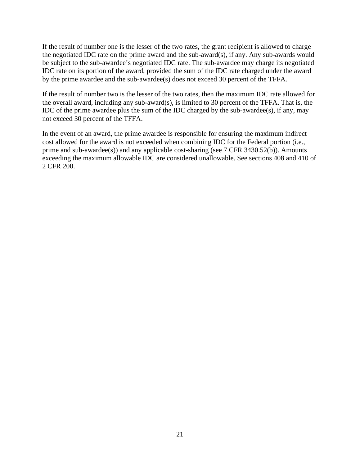If the result of number one is the lesser of the two rates, the grant recipient is allowed to charge the negotiated IDC rate on the prime award and the sub-award(s), if any. Any sub-awards would be subject to the sub-awardee's negotiated IDC rate. The sub-awardee may charge its negotiated IDC rate on its portion of the award, provided the sum of the IDC rate charged under the award by the prime awardee and the sub-awardee(s) does not exceed 30 percent of the TFFA.

If the result of number two is the lesser of the two rates, then the maximum IDC rate allowed for the overall award, including any sub-award(s), is limited to 30 percent of the TFFA. That is, the IDC of the prime awardee plus the sum of the IDC charged by the sub-awardee(s), if any, may not exceed 30 percent of the TFFA.

In the event of an award, the prime awardee is responsible for ensuring the maximum indirect cost allowed for the award is not exceeded when combining IDC for the Federal portion (i.e., prime and sub-awardee(s)) and any applicable cost-sharing (see 7 CFR 3430.52(b)). Amounts exceeding the maximum allowable IDC are considered unallowable. See sections 408 and 410 of 2 CFR 200.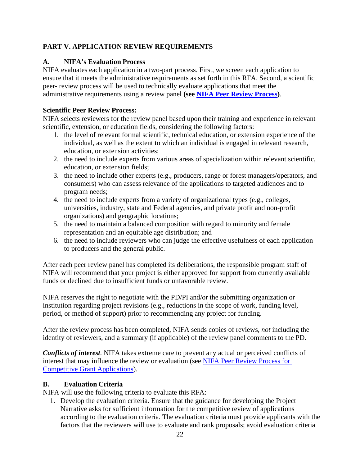# <span id="page-21-0"></span>**PART V. APPLICATION REVIEW REQUIREMENTS**

# <span id="page-21-1"></span>**A. NIFA's Evaluation Process**

NIFA evaluates each application in a two-part process. First, we screen each application to ensure that it meets the administrative requirements as set forth in this RFA. Second, a scientific peer- review process will be used to technically evaluate applications that meet the administrative requirements using a review panel **(see [NIFA Peer Review Process\)](https://nifa.usda.gov/resource/nifa-peer-review-process-competitive-grant-applications)**.

# **Scientific Peer Review Process:**

NIFA selects reviewers for the review panel based upon their training and experience in relevant scientific, extension, or education fields, considering the following factors:

- 1. the level of relevant formal scientific, technical education, or extension experience of the individual, as well as the extent to which an individual is engaged in relevant research, education, or extension activities;
- 2. the need to include experts from various areas of specialization within relevant scientific, education, or extension fields;
- 3. the need to include other experts (e.g., producers, range or forest managers/operators, and consumers) who can assess relevance of the applications to targeted audiences and to program needs;
- 4. the need to include experts from a variety of organizational types (e.g., colleges, universities, industry, state and Federal agencies, and private profit and non-profit organizations) and geographic locations;
- 5. the need to maintain a balanced composition with regard to minority and female representation and an equitable age distribution; and
- 6. the need to include reviewers who can judge the effective usefulness of each application to producers and the general public.

After each peer review panel has completed its deliberations, the responsible program staff of NIFA will recommend that your project is either approved for support from currently available funds or declined due to insufficient funds or unfavorable review.

NIFA reserves the right to negotiate with the PD/PI and/or the submitting organization or institution regarding project revisions (e.g., reductions in the scope of work, funding level, period, or method of support) prior to recommending any project for funding.

After the review process has been completed, NIFA sends copies of reviews, *not* including the identity of reviewers, and a summary (if applicable) of the review panel comments to the PD.

*Conflicts of interest*. NIFA takes extreme care to prevent any actual or perceived conflicts of interest that may influence the review or evaluation (see [NIFA Peer Review Process for](https://nifa.usda.gov/resource/nifa-peer-review-process-competitive-grant-applications) [Competitive Grant Applications\)](https://nifa.usda.gov/resource/nifa-peer-review-process-competitive-grant-applications).

# <span id="page-21-2"></span>**B. Evaluation Criteria**

NIFA will use the following criteria to evaluate this RFA:

1. Develop the evaluation criteria. Ensure that the guidance for developing the Project Narrative asks for sufficient information for the competitive review of applications according to the evaluation criteria. The evaluation criteria must provide applicants with the factors that the reviewers will use to evaluate and rank proposals; avoid evaluation criteria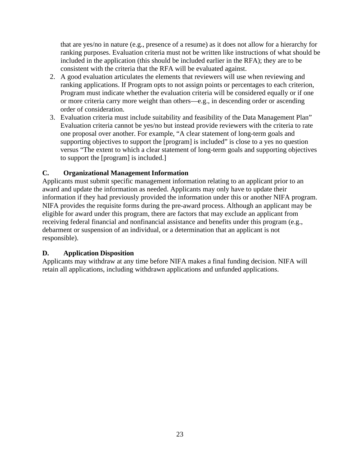that are yes/no in nature (e.g., presence of a resume) as it does not allow for a hierarchy for ranking purposes. Evaluation criteria must not be written like instructions of what should be included in the application (this should be included earlier in the RFA); they are to be consistent with the criteria that the RFA will be evaluated against.

- 2. A good evaluation articulates the elements that reviewers will use when reviewing and ranking applications. If Program opts to not assign points or percentages to each criterion, Program must indicate whether the evaluation criteria will be considered equally or if one or more criteria carry more weight than others—e.g., in descending order or ascending order of consideration.
- 3. Evaluation criteria must include suitability and feasibility of the Data Management Plan" Evaluation criteria cannot be yes/no but instead provide reviewers with the criteria to rate one proposal over another. For example, "A clear statement of long-term goals and supporting objectives to support the [program] is included" is close to a yes no question versus "The extent to which a clear statement of long-term goals and supporting objectives to support the [program] is included.]

# <span id="page-22-0"></span>**C.** Organizational Management Information

Applicants must submit specific management information relating to an applicant prior to an award and update the information as needed. Applicants may only have to update their information if they had previously provided the information under this or another NIFA program. NIFA provides the requisite forms during the pre-award process. Although an applicant may be eligible for award under this program, there are factors that may exclude an applicant from receiving federal financial and nonfinancial assistance and benefits under this program (e.g., debarment or suspension of an individual, or a determination that an applicant is not responsible).

## <span id="page-22-1"></span>**D. Application Disposition**

Applicants may withdraw at any time before NIFA makes a final funding decision. NIFA will retain all applications, including withdrawn applications and unfunded applications.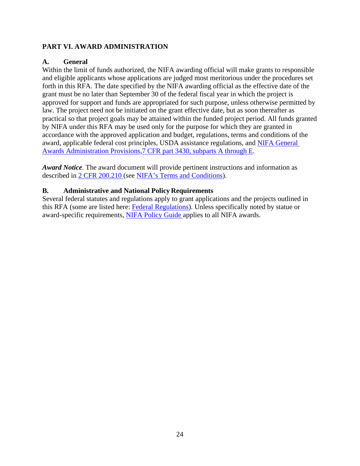## <span id="page-23-0"></span>**PART VI. AWARD ADMINISTRATION**

## <span id="page-23-1"></span>**A. General**

Within the limit of funds authorized, the NIFA awarding official will make grants to responsible and eligible applicants whose applications are judged most meritorious under the procedures set forth in this RFA. The date specified by the NIFA awarding official as the effective date of the grant must be no later than September 30 of the federal fiscal year in which the project is approved for support and funds are appropriated for such purpose, unless otherwise permitted by law. The project need not be initiated on the grant effective date, but as soon thereafter as practical so that project goals may be attained within the funded project period. All funds granted by NIFA under this RFA may be used only for the purpose for which they are granted in accordance with the approved application and budget, regulations, terms and conditions of the award, applicable federal cost principles, USDA assistance regulations, and [NIFA General](https://ecfr.io/Title-07/pt7.15.3430) [Awards Administration Provisions,7 CFR part 3430, subparts A through E.](https://ecfr.io/Title-07/pt7.15.3430)

*Award Notice*. The award document will provide pertinent instructions and information as described in [2 CFR 200.210](https://www.ecfr.gov/cgi-bin/text-idx?SID=70b44cfc44976f4a7742464f7cfbb37e&mc=true&node=se2.1.200_1210&rgn=div8) (see [NIFA's Terms and Conditions\)](https://nifa.usda.gov/terms-and-conditions).

## <span id="page-23-2"></span>**B. Administrative and National Policy Requirements**

Several federal statutes and regulations apply to grant applications and the projects outlined in this RFA (some are listed here: [Federal Regulations\)](https://nifa.usda.gov/federal-regulations). Unless specifically noted by statue or award-specific requirements, [NIFA Policy Guide a](https://nifa.usda.gov/policy-guide)pplies to all NIFA awards.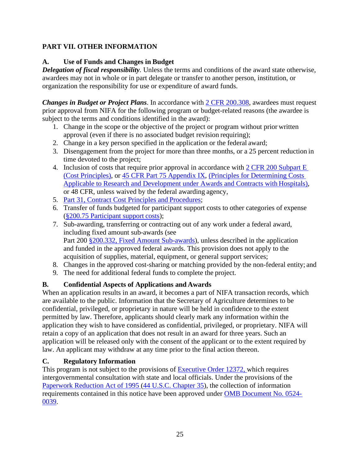# <span id="page-24-0"></span>**PART VII. OTHER INFORMATION**

# <span id="page-24-1"></span>**A. Use of Funds and Changes in Budget**

**Delegation of fiscal responsibility**. Unless the terms and conditions of the award state otherwise, awardees may not in whole or in part delegate or transfer to another person, institution, or organization the responsibility for use or expenditure of award funds.

*Changes in Budget or Project Plans*. In accordance with [2 CFR 200.308,](https://www.ecfr.gov/cgi-bin/text-idx?SID=3af89506559b05297e7d0334cb283e24&mc=true&node=se2.1.200_1308&rgn=div8) awardees must request prior approval from NIFA for the following program or budget-related reasons (the awardee is subject to the terms and conditions identified in the award):

- 1. Change in the scope or the objective of the project or program without prior written approval (even if there is no associated budget revision requiring);
- 2. Change in a key person specified in the application or the federal award;
- 3. Disengagement from the project for more than three months, or a 25 percent reduction in time devoted to the project;
- 4. Inclusion of costs that require prior approval in accordance with [2 CFR 200 Subpart E](https://ecfr.io/Title-02/sp2.1.200.e)  [\(Cost Principles\),](https://ecfr.io/Title-02/sp2.1.200.e) or [45 CFR Part 75 Appendix IX,](https://www.ecfr.gov/cgi-bin/text-idx?node=pt45.1.75&ap45.1.75_1521.ix) [\(Principles for Determining Costs](https://www.ecfr.gov/cgi-bin/text-idx?node=pt45.1.75&ap45.1.75_1521.ix)  [Applicable to Research and Development under Awards and Contracts with](https://www.ecfr.gov/cgi-bin/text-idx?node=pt45.1.75&ap45.1.75_1521.ix) Hospitals), or 48 CFR, unless waived by the federal awarding agency,
- 5. [Part 31, Contract Cost Principles and](https://ecfr.io/Title-48/pt48.1.31) Procedures;
- 6. Transfer of funds budgeted for participant support costs to other categories of expense [\(§200.75 Participant support](http://federal.elaws.us/cfr/title2.part200.section200.75) costs);
- 7. Sub-awarding, transferring or contracting out of any work under a federal award, including fixed amount sub-awards (see Part 200 [§200.332, Fixed Amount Sub-awards\)](https://www.ecfr.gov/cgi-bin/retrieveECFR?gp=&SID=9b1ed013d88e24fc4adc84aa5528d9f8&mc=true&n=pt2.1.200&r=PART&ty=HTML#se2.1.200_1332), unless described in the application and funded in the approved federal awards. This provision does not apply to the acquisition of supplies, material, equipment, or general support services;
- 8. Changes in the approved cost-sharing or matching provided by the non-federal entity; and
- 9. The need for additional federal funds to complete the project.

# <span id="page-24-2"></span>**B. Confidential Aspects of Applications and Awards**

When an application results in an award, it becomes a part of NIFA transaction records, which are available to the public. Information that the Secretary of Agriculture determines to be confidential, privileged, or proprietary in nature will be held in confidence to the extent permitted by law. Therefore, applicants should clearly mark any information within the application they wish to have considered as confidential, privileged, or proprietary. NIFA will retain a copy of an application that does not result in an award for three years. Such an application will be released only with the consent of the applicant or to the extent required by law. An applicant may withdraw at any time prior to the final action thereon.

# <span id="page-24-3"></span>**C. Regulatory Information**

This program is not subject to the provisions of [Executive Order 12372,](https://www.fws.gov/policy/library/rgeo12372.pdf) which requires intergovernmental consultation with state and local officials. Under the provisions of the [Paperwork Reduction Act of 1995](https://www.reginfo.gov/public/reginfo/pra.pdf) (44 U.S.C. Chapter 35), the collection of information requirements contained in this notice have been approved under [OMB Document No. 0524-](https://www.federalregister.gov/documents/2018/10/29/2018-23552/submission-for-omb-review-comment-request) [0039.](https://www.federalregister.gov/documents/2018/10/29/2018-23552/submission-for-omb-review-comment-request)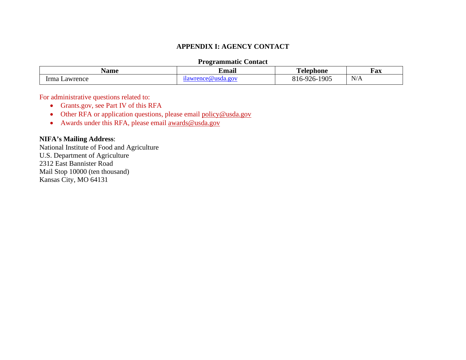## **APPENDIX I: AGENCY CONTACT**

## **Programmatic Contact**

| √ame                | $\bullet$<br>Emai | <b>The Second</b>             | Fax                   |
|---------------------|-------------------|-------------------------------|-----------------------|
| $\cdots$<br>awrence | ω<br>-116         | 1905<br>י ר<br>∧ เ ก−ฯ<br>11- | $\sim$ $ \sim$<br>N/A |

For administrative questions related to:

- Grants.gov, see Part IV of this RFA
- Other RFA or application questions, please email [policy@usda.gov](mailto:policy@usda.gov)
- Awards under this RFA, please email [awards@usda.gov](mailto:awards@usda.gov)

## **NIFA's Mailing Address**:

<span id="page-25-0"></span>National Institute of Food and Agriculture U.S. Department of Agriculture 2312 East Bannister Road Mail Stop 10000 (ten thousand) Kansas City, MO 64131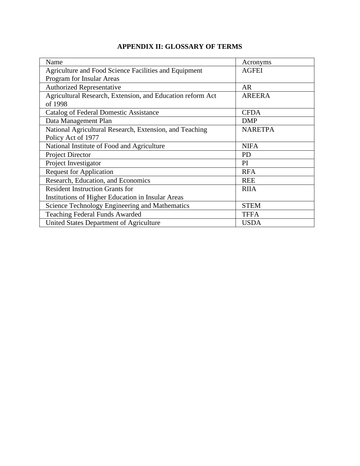# **APPENDIX II: GLOSSARY OF TERMS**

<span id="page-26-0"></span>

| Acronyms       |
|----------------|
| <b>AGFEI</b>   |
|                |
| <b>AR</b>      |
| <b>AREERA</b>  |
|                |
| <b>CFDA</b>    |
| <b>DMP</b>     |
| <b>NARETPA</b> |
|                |
| <b>NIFA</b>    |
| PD             |
| PI             |
| <b>RFA</b>     |
| <b>REE</b>     |
| <b>RIIA</b>    |
|                |
| <b>STEM</b>    |
| <b>TFFA</b>    |
| <b>USDA</b>    |
|                |